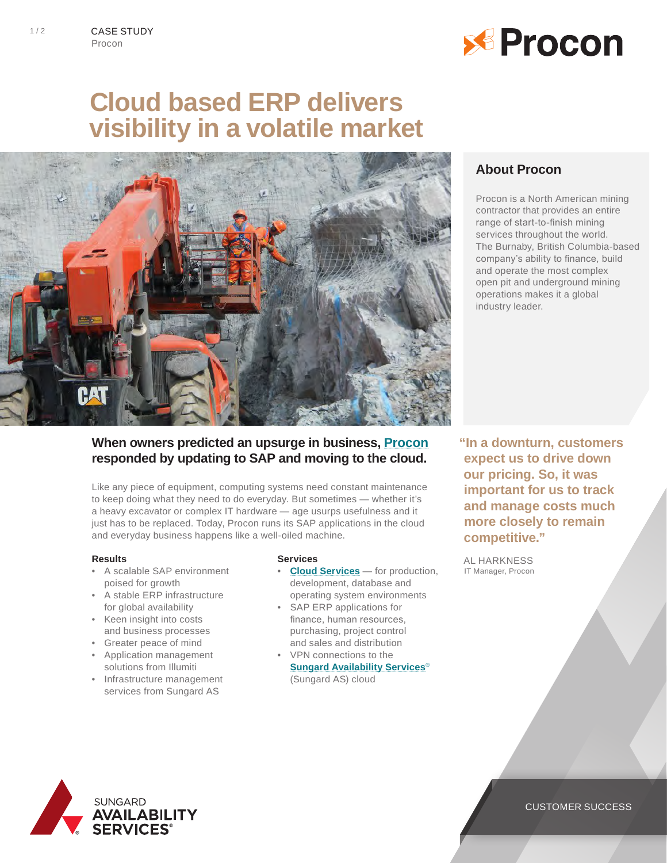

# **Cloud based ERP delivers visibility in a volatile market**



## **About Procon**

Procon is a North American mining contractor that provides an entire range of start-to-finish mining services throughout the world. The Burnaby, British Columbia-based company's ability to finance, build and operate the most complex open pit and underground mining operations makes it a global industry leader.

## **When owners predicted an upsurge in business, [Procon](http://www.procongroup.net/) responded by updating to SAP and moving to the cloud.**

Like any piece of equipment, computing systems need constant maintenance to keep doing what they need to do everyday. But sometimes — whether it's a heavy excavator or complex IT hardware — age usurps usefulness and it just has to be replaced. Today, Procon runs its SAP applications in the cloud and everyday business happens like a well-oiled machine.

#### **Results**

- A scalable SAP environment poised for growth
- A stable ERP infrastructure for global availability
- Keen insight into costs and business processes
- Greater peace of mind
- Application management solutions from Illumiti
- Infrastructure management services from Sungard AS

#### **Services**

- **[Cloud Services](http://www.sungardas.com/Services/Pages/Solutions.aspx)** for production, development, database and operating system environments
- SAP ERP applications for finance, human resources, purchasing, project control and sales and distribution
- VPN connections to the **[Sungard Availability Services](http://www.sungardas.com/Pages/default.aspx)**® (Sungard AS) cloud

**"In a downturn, customers expect us to drive down our pricing. So, it was important for us to track and manage costs much more closely to remain competitive."** 

AL HARKNESS IT Manager, Procon



### CUSTOMER SUCCESS